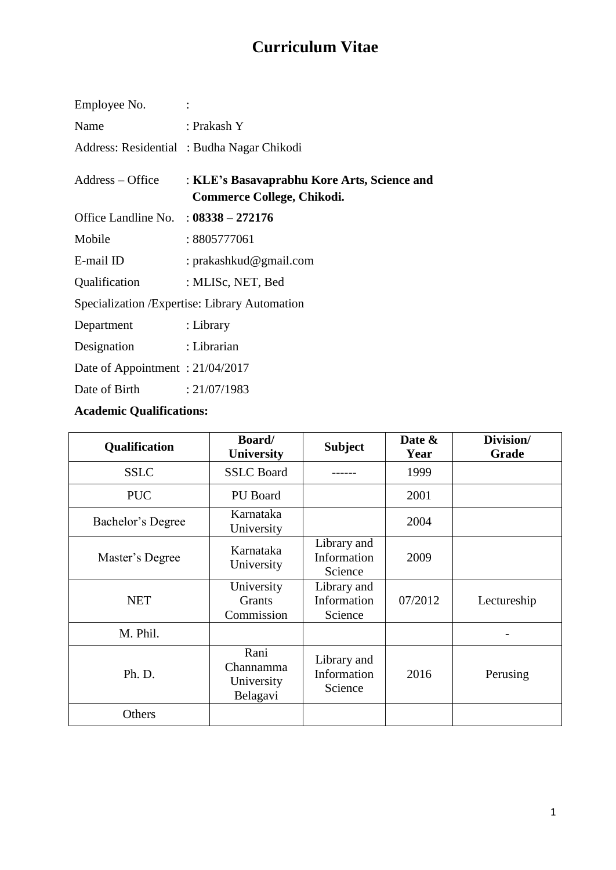# **Curriculum Vitae**

| Employee No.                                   |                                                                           |  |  |  |
|------------------------------------------------|---------------------------------------------------------------------------|--|--|--|
| Name                                           | : Prakash Y                                                               |  |  |  |
|                                                | Address: Residential: Budha Nagar Chikodi                                 |  |  |  |
| $Address - Office$                             | : KLE's Basavaprabhu Kore Arts, Science and<br>Commerce College, Chikodi. |  |  |  |
| Office Landline No. : $08338 - 272176$         |                                                                           |  |  |  |
| Mobile                                         | : 8805777061                                                              |  |  |  |
| E-mail ID                                      | : prakashkud@gmail.com                                                    |  |  |  |
| Qualification : MLISc, NET, Bed                |                                                                           |  |  |  |
| Specialization / Expertise: Library Automation |                                                                           |  |  |  |
| Department : Library                           |                                                                           |  |  |  |
| Designation : Librarian                        |                                                                           |  |  |  |
| Date of Appointment: 21/04/2017                |                                                                           |  |  |  |
| Date of Birth $: 21/07/1983$                   |                                                                           |  |  |  |

## **Academic Qualifications:**

| Qualification     | Board/<br><b>University</b>                 | <b>Subject</b>                        | Date &<br>Year | Division/<br>Grade |
|-------------------|---------------------------------------------|---------------------------------------|----------------|--------------------|
| <b>SSLC</b>       | <b>SSLC</b> Board                           |                                       | 1999           |                    |
| <b>PUC</b>        | PU Board                                    |                                       | 2001           |                    |
| Bachelor's Degree | Karnataka<br>University                     |                                       | 2004           |                    |
| Master's Degree   | Karnataka<br>University                     | Library and<br>Information<br>Science | 2009           |                    |
| <b>NET</b>        | University<br>Grants<br>Commission          | Library and<br>Information<br>Science | 07/2012        | Lectureship        |
| M. Phil.          |                                             |                                       |                |                    |
| Ph. D.            | Rani<br>Channamma<br>University<br>Belagavi | Library and<br>Information<br>Science | 2016           | Perusing           |
| Others            |                                             |                                       |                |                    |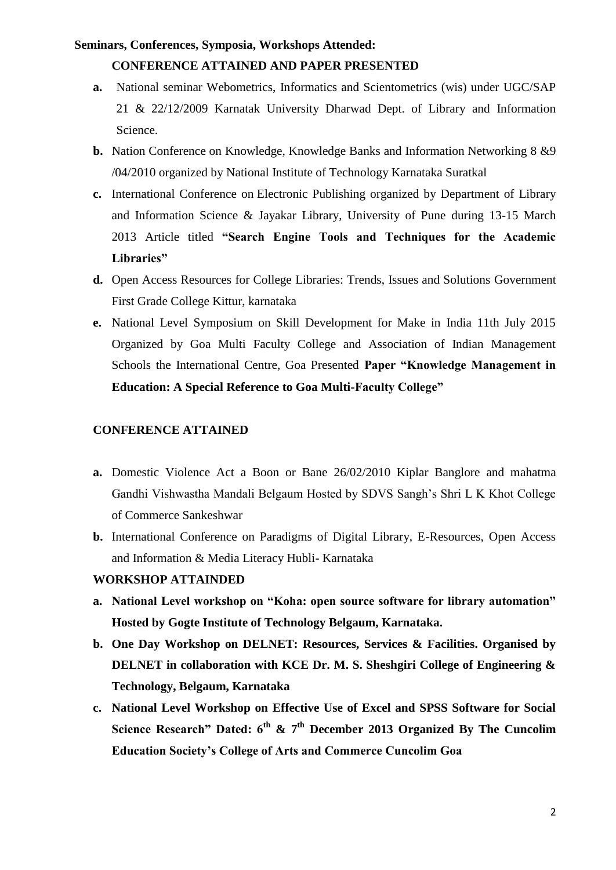#### **Seminars, Conferences, Symposia, Workshops Attended:**

#### **CONFERENCE ATTAINED AND PAPER PRESENTED**

- **a.** National seminar Webometrics, Informatics and Scientometrics (wis) under UGC/SAP 21 & 22/12/2009 Karnatak University Dharwad Dept. of Library and Information Science.
- **b.** Nation Conference on Knowledge, Knowledge Banks and Information Networking 8 &9 /04/2010 organized by National Institute of Technology Karnataka Suratkal
- **c.** International Conference on Electronic Publishing organized by Department of Library and Information Science & Jayakar Library, University of Pune during 13-15 March 2013 Article titled **"Search Engine Tools and Techniques for the Academic Libraries"**
- **d.** Open Access Resources for College Libraries: Trends, Issues and Solutions Government First Grade College Kittur, karnataka
- **e.** National Level Symposium on Skill Development for Make in India 11th July 2015 Organized by Goa Multi Faculty College and Association of Indian Management Schools the International Centre, Goa Presented **Paper "Knowledge Management in Education: A Special Reference to Goa Multi-Faculty College"**

#### **CONFERENCE ATTAINED**

- **a.** Domestic Violence Act a Boon or Bane 26/02/2010 Kiplar Banglore and mahatma Gandhi Vishwastha Mandali Belgaum Hosted by SDVS Sangh's Shri L K Khot College of Commerce Sankeshwar
- **b.** International Conference on Paradigms of Digital Library, E-Resources, Open Access and Information & Media Literacy Hubli- Karnataka

#### **WORKSHOP ATTAINDED**

- **a. National Level workshop on "Koha: open source software for library automation" Hosted by Gogte Institute of Technology Belgaum, Karnataka.**
- **b. One Day Workshop on DELNET: Resources, Services & Facilities. Organised by DELNET in collaboration with KCE Dr. M. S. Sheshgiri College of Engineering & Technology, Belgaum, Karnataka**
- **c. National Level Workshop on Effective Use of Excel and SPSS Software for Social Science Research" Dated: 6th & 7th December 2013 Organized By The Cuncolim Education Society's College of Arts and Commerce Cuncolim Goa**